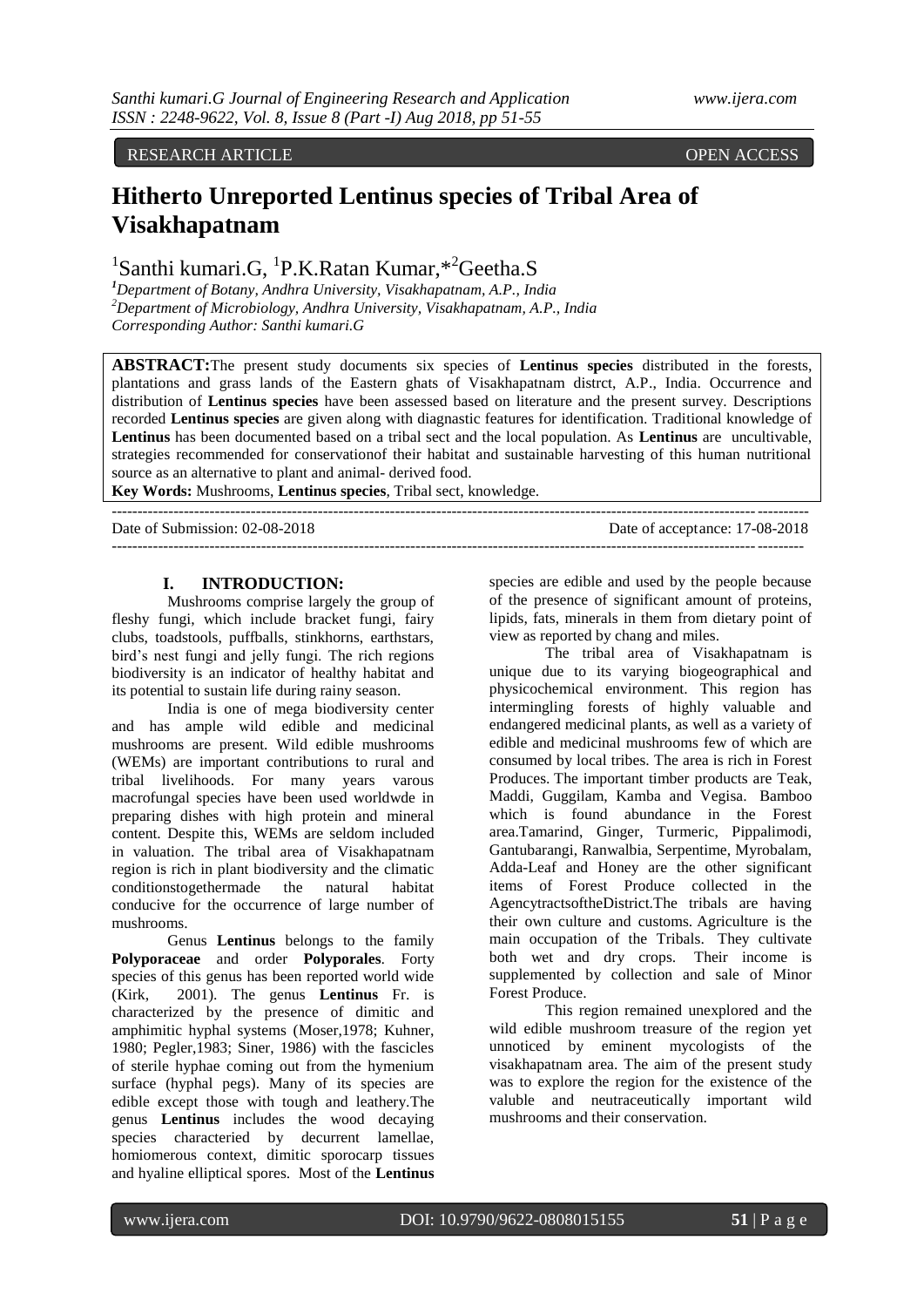# RESEARCH ARTICLE **ARTICLE** And the contract of the contract of the contract of the contract of the contract of the contract of the contract of the contract of the contract of the contract of the contract of the contract of

# **Hitherto Unreported Lentinus species of Tribal Area of Visakhapatnam**

<sup>1</sup>Santhi kumari.G, <sup>1</sup>P.K.Ratan Kumar, \*<sup>2</sup>Geetha.S

*<sup>1</sup>Department of Botany, Andhra University, Visakhapatnam, A.P., India <sup>2</sup>Department of Microbiology, Andhra University, Visakhapatnam, A.P., India Corresponding Author: Santhi kumari.G*

**ABSTRACT:**The present study documents six species of **Lentinus species** distributed in the forests, plantations and grass lands of the Eastern ghats of Visakhapatnam distrct, A.P., India. Occurrence and distribution of **Lentinus species** have been assessed based on literature and the present survey. Descriptions recorded **Lentinus species** are given along with diagnastic features for identification. Traditional knowledge of **Lentinus** has been documented based on a tribal sect and the local population. As **Lentinus** are uncultivable, strategies recommended for conservationof their habitat and sustainable harvesting of this human nutritional source as an alternative to plant and animal- derived food.

 $-1-\frac{1}{2}$ 

---------------------------------------------------------------------------------------------------------------------------------------

**Key Words:** Mushrooms, **Lentinus species**, Tribal sect, knowledge.

Date of Submission: 02-08-2018 Date of acceptance: 17-08-2018

# **I. INTRODUCTION:**

Mushrooms comprise largely the group of fleshy fungi, which include bracket fungi, fairy clubs, toadstools, puffballs, stinkhorns, earthstars, bird's nest fungi and jelly fungi. The rich regions biodiversity is an indicator of healthy habitat and its potential to sustain life during rainy season.

India is one of mega biodiversity center and has ample wild edible and medicinal mushrooms are present. Wild edible mushrooms (WEMs) are important contributions to rural and tribal livelihoods. For many years varous macrofungal species have been used worldwde in preparing dishes with high protein and mineral content. Despite this, WEMs are seldom included in valuation. The tribal area of Visakhapatnam region is rich in plant biodiversity and the climatic conditionstogethermade the natural habitat conducive for the occurrence of large number of mushrooms.

Genus **Lentinus** belongs to the family **Polyporaceae** and order **Polyporales**. Forty species of this genus has been reported world wide (Kirk, 2001). The genus **Lentinus** Fr. is characterized by the presence of dimitic and amphimitic hyphal systems (Moser,1978; Kuhner, 1980; Pegler,1983; Siner, 1986) with the fascicles of sterile hyphae coming out from the hymenium surface (hyphal pegs). Many of its species are edible except those with tough and leathery.The genus **Lentinus** includes the wood decaying species characteried by decurrent lamellae, homiomerous context, dimitic sporocarp tissues and hyaline elliptical spores. Most of the **Lentinus**

species are edible and used by the people because of the presence of significant amount of proteins, lipids, fats, minerals in them from dietary point of view as reported by chang and miles.

The tribal area of Visakhapatnam is unique due to its varying biogeographical and physicochemical environment. This region has intermingling forests of highly valuable and endangered medicinal plants, as well as a variety of edible and medicinal mushrooms few of which are consumed by local tribes. The area is rich in Forest Produces. The important timber products are Teak, Maddi, Guggilam, Kamba and Vegisa. Bamboo which is found abundance in the Forest area.Tamarind, Ginger, Turmeric, Pippalimodi, Gantubarangi, Ranwalbia, Serpentime, Myrobalam, Adda-Leaf and Honey are the other significant items of Forest Produce collected in the AgencytractsoftheDistrict.The tribals are having their own culture and customs. Agriculture is the main occupation of the Tribals. They cultivate both wet and dry crops. Their income is supplemented by collection and sale of Minor Forest Produce.

This region remained unexplored and the wild edible mushroom treasure of the region yet unnoticed by eminent mycologists of the visakhapatnam area. The aim of the present study was to explore the region for the existence of the valuble and neutraceutically important wild mushrooms and their conservation.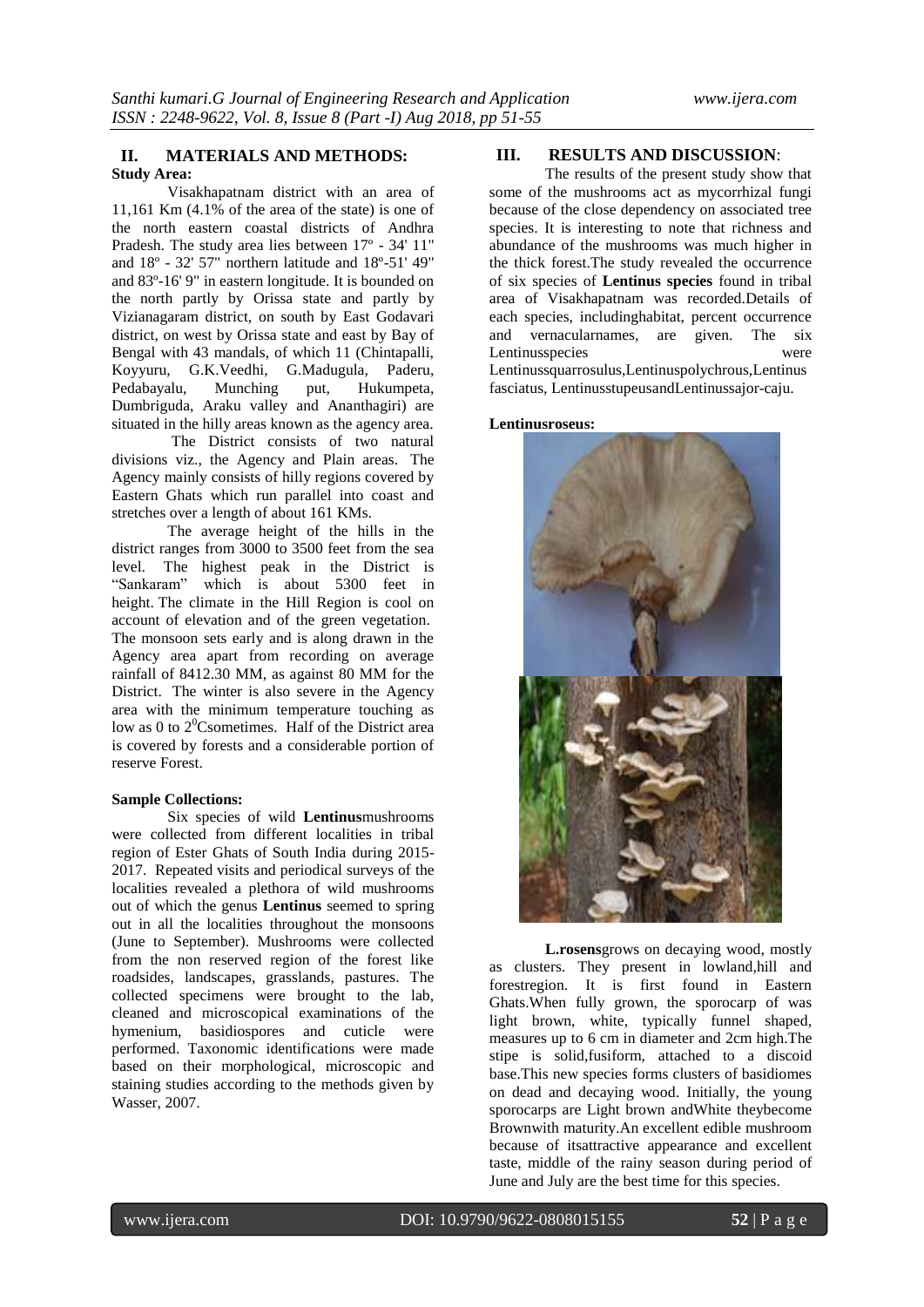#### **II. MATERIALS AND METHODS: Study Area:**

Visakhapatnam district with an area of 11,161 Km (4.1% of the area of the state) is one of the north eastern coastal districts of Andhra Pradesh. The study area lies between 17º - 34' 11" and 18º - 32' 57" northern latitude and 18º-51' 49" and 83º-16' 9" in eastern longitude. It is bounded on the north partly by Orissa state and partly by Vizianagaram district, on south by East Godavari district, on west by Orissa state and east by Bay of Bengal with 43 mandals, of which 11 (Chintapalli, Koyyuru, G.K.Veedhi, G.Madugula, Paderu, Pedabayalu, Munching put, Hukumpeta, Dumbriguda, Araku valley and Ananthagiri) are situated in the hilly areas known as the agency area.

The District consists of two natural divisions viz., the Agency and Plain areas. The Agency mainly consists of hilly regions covered by Eastern Ghats which run parallel into coast and stretches over a length of about 161 KMs.

The average height of the hills in the district ranges from 3000 to 3500 feet from the sea level. The highest peak in the District is "Sankaram" which is about 5300 feet in height. The climate in the Hill Region is cool on account of elevation and of the green vegetation. The monsoon sets early and is along drawn in the Agency area apart from recording on average rainfall of 8412.30 MM, as against 80 MM for the District. The winter is also severe in the Agency area with the minimum temperature touching as low as 0 to  $2^0$ Csometimes. Half of the District area is covered by forests and a considerable portion of reserve Forest.

## **Sample Collections:**

Six species of wild **Lentinus**mushrooms were collected from different localities in tribal region of Ester Ghats of South India during 2015- 2017. Repeated visits and periodical surveys of the localities revealed a plethora of wild mushrooms out of which the genus **Lentinus** seemed to spring out in all the localities throughout the monsoons (June to September). Mushrooms were collected from the non reserved region of the forest like roadsides, landscapes, grasslands, pastures. The collected specimens were brought to the lab, cleaned and microscopical examinations of the hymenium, basidiospores and cuticle were performed. Taxonomic identifications were made based on their morphological, microscopic and staining studies according to the methods given by Wasser, 2007.

# **III. RESULTS AND DISCUSSION**:

The results of the present study show that some of the mushrooms act as mycorrhizal fungi because of the close dependency on associated tree species. It is interesting to note that richness and abundance of the mushrooms was much higher in the thick forest.The study revealed the occurrence of six species of **Lentinus species** found in tribal area of Visakhapatnam was recorded.Details of each species, includinghabitat, percent occurrence and vernacularnames, are given. The six Lentinusspecies were

Lentinussquarrosulus,Lentinuspolychrous,Lentinus fasciatus, LentinusstupeusandLentinussajor-caju.

#### **Lentinusroseus:**



**L.rosens**grows on decaying wood, mostly as clusters. They present in lowland,hill and forestregion. It is first found in Eastern Ghats.When fully grown, the sporocarp of was light brown, white, typically funnel shaped, measures up to 6 cm in diameter and 2cm high.The stipe is solid,fusiform, attached to a discoid base.This new species forms clusters of basidiomes on dead and decaying wood. Initially, the young sporocarps are Light brown andWhite theybecome Brownwith maturity.An excellent edible mushroom because of itsattractive appearance and excellent taste, middle of the rainy season during period of June and July are the best time for this species.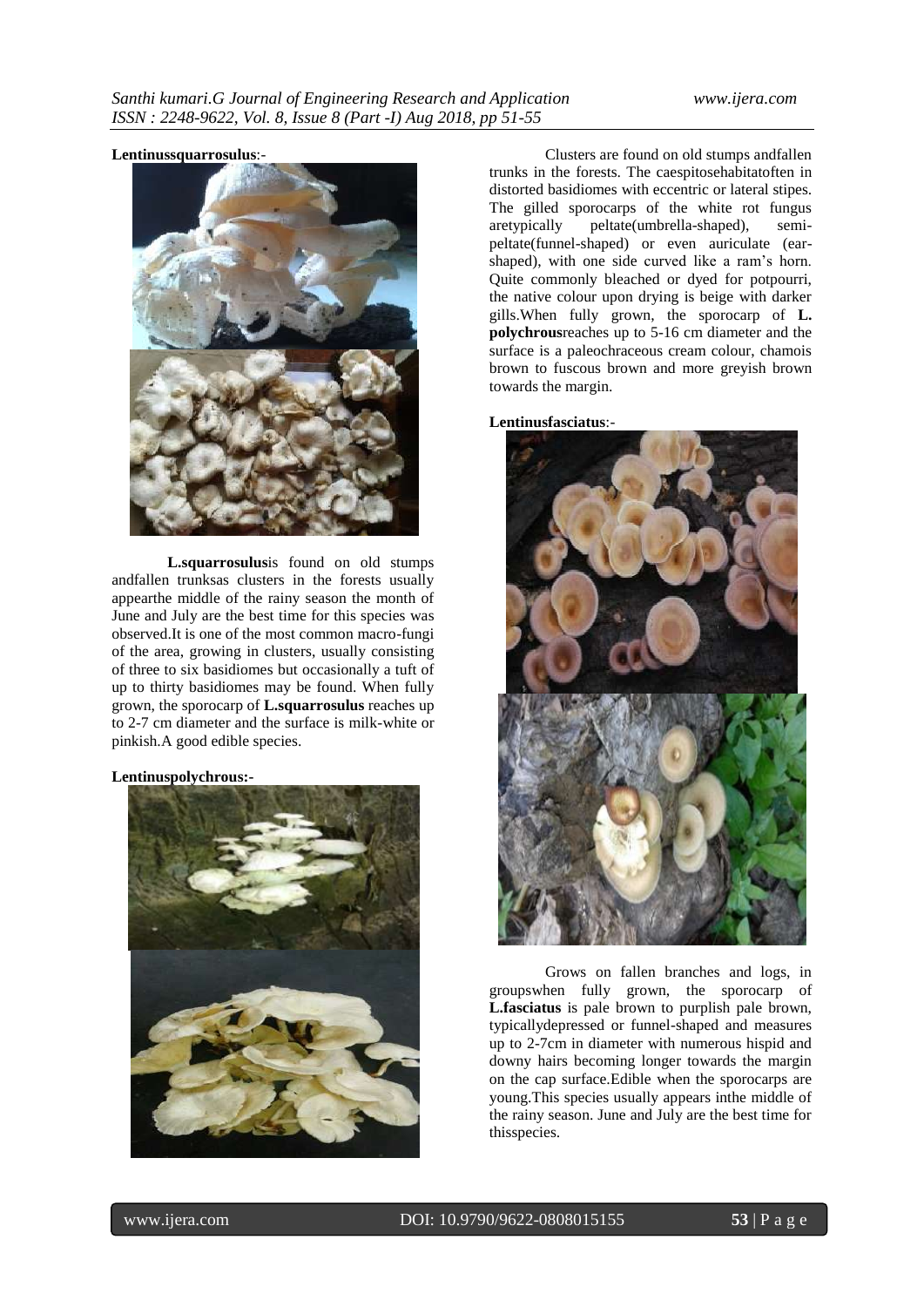## **Lentinussquarrosulus**:-



**L.squarrosulus**is found on old stumps andfallen trunksas clusters in the forests usually appearthe middle of the rainy season the month of June and July are the best time for this species was observed.It is one of the most common macro-fungi of the area, growing in clusters, usually consisting of three to six basidiomes but occasionally a tuft of up to thirty basidiomes may be found. When fully grown, the sporocarp of **L.squarrosulus** reaches up to 2-7 cm diameter and the surface is milk-white or pinkish.A good edible species.

## **Lentinuspolychrous:-**



Clusters are found on old stumps andfallen trunks in the forests. The caespitosehabitatoften in distorted basidiomes with eccentric or lateral stipes. The gilled sporocarps of the white rot fungus aretypically peltate(umbrella-shaped), semipeltate(funnel-shaped) or even auriculate (earshaped), with one side curved like a ram's horn. Quite commonly bleached or dyed for potpourri, the native colour upon drying is beige with darker gills.When fully grown, the sporocarp of **L. polychrous**reaches up to 5-16 cm diameter and the surface is a paleochraceous cream colour, chamois brown to fuscous brown and more greyish brown towards the margin.

# **Lentinusfasciatus**:-



Grows on fallen branches and logs, in groupswhen fully grown, the sporocarp of **L.fasciatus** is pale brown to purplish pale brown, typicallydepressed or funnel-shaped and measures up to 2-7cm in diameter with numerous hispid and downy hairs becoming longer towards the margin on the cap surface.Edible when the sporocarps are young.This species usually appears inthe middle of the rainy season. June and July are the best time for thisspecies.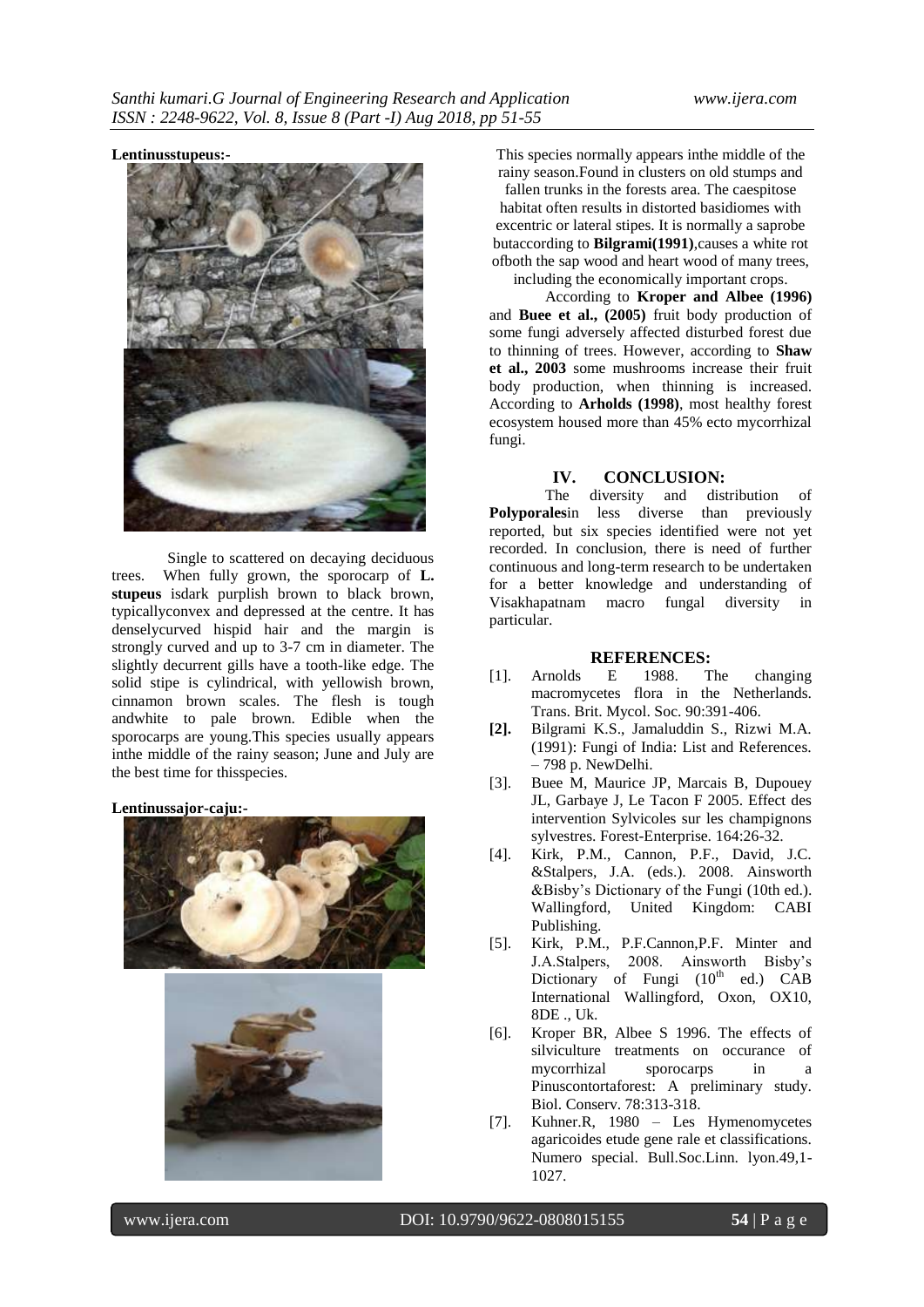#### **Lentinusstupeus:-**



Single to scattered on decaying deciduous trees. When fully grown, the sporocarp of **L. stupeus** isdark purplish brown to black brown, typicallyconvex and depressed at the centre. It has denselycurved hispid hair and the margin is strongly curved and up to 3-7 cm in diameter. The slightly decurrent gills have a tooth-like edge. The solid stipe is cylindrical, with yellowish brown, cinnamon brown scales. The flesh is tough andwhite to pale brown. Edible when the sporocarps are young.This species usually appears inthe middle of the rainy season; June and July are the best time for thisspecies.

#### **Lentinussajor-caju:-**





This species normally appears inthe middle of the rainy season.Found in clusters on old stumps and fallen trunks in the forests area. The caespitose habitat often results in distorted basidiomes with excentric or lateral stipes. It is normally a saprobe butaccording to **Bilgrami(1991)**,causes a white rot ofboth the sap wood and heart wood of many trees, including the economically important crops.

According to **Kroper and Albee (1996)**  and **Buee et al., (2005)** fruit body production of some fungi adversely affected disturbed forest due to thinning of trees. However, according to **Shaw et al., 2003** some mushrooms increase their fruit body production, when thinning is increased. According to **Arholds (1998)**, most healthy forest ecosystem housed more than 45% ecto mycorrhizal fungi.

#### **IV. CONCLUSION:**

The diversity and distribution of **Polyporales**in less diverse than previously reported, but six species identified were not yet recorded. In conclusion, there is need of further continuous and long-term research to be undertaken for a better knowledge and understanding of Visakhapatnam macro fungal diversity in particular.

#### **REFERENCES:**

- [1]. Arnolds E 1988. The changing macromycetes flora in the Netherlands. Trans. Brit. Mycol. Soc. 90:391-406.
- **[2].** Bilgrami K.S., Jamaluddin S., Rizwi M.A. (1991): Fungi of India: List and References. – 798 p. NewDelhi.
- [3]. Buee M, Maurice JP, Marcais B, Dupouey JL, Garbaye J, Le Tacon F 2005. Effect des intervention Sylvicoles sur les champignons sylvestres. Forest-Enterprise. 164:26-32.
- [4]. Kirk, P.M., Cannon, P.F., David, J.C. &Stalpers, J.A. (eds.). 2008. Ainsworth &Bisby's Dictionary of the Fungi (10th ed.). Wallingford, United Kingdom: CABI Publishing.
- [5]. Kirk, P.M., P.F.Cannon,P.F. Minter and J.A.Stalpers, 2008. Ainsworth Bisby's Dictionary of Fungi  $(10^{th}$  ed.) CAB International Wallingford, Oxon, OX10, 8DE ., Uk.
- [6]. Kroper BR, Albee S 1996. The effects of silviculture treatments on occurance of mycorrhizal sporocarps in a Pinuscontortaforest: A preliminary study. Biol. Conserv. 78:313-318.
- [7]. Kuhner.R, 1980 Les Hymenomycetes agaricoides etude gene rale et classifications. Numero special. Bull.Soc.Linn. lyon.49,1- 1027.